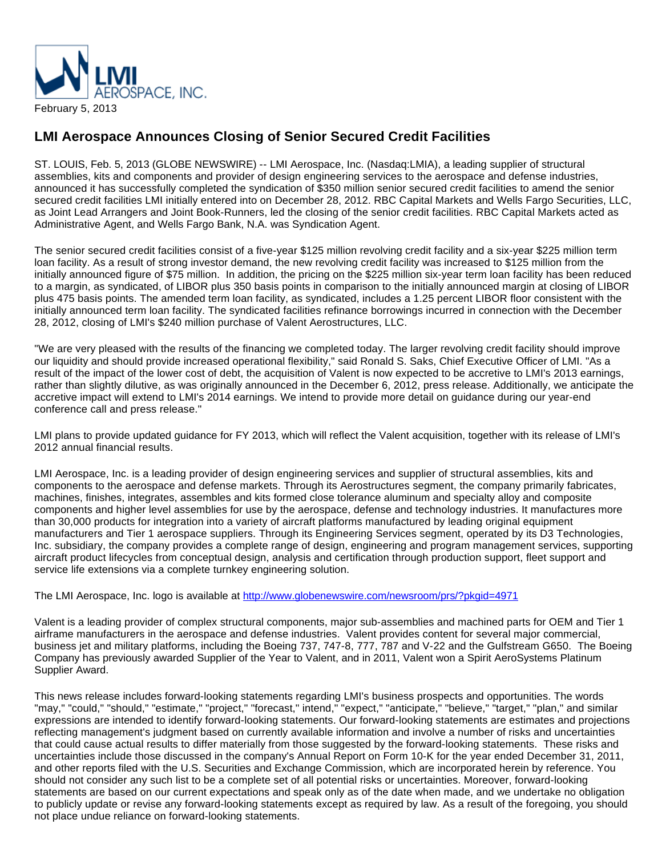

## **LMI Aerospace Announces Closing of Senior Secured Credit Facilities**

ST. LOUIS, Feb. 5, 2013 (GLOBE NEWSWIRE) -- LMI Aerospace, Inc. (Nasdaq:LMIA), a leading supplier of structural assemblies, kits and components and provider of design engineering services to the aerospace and defense industries, announced it has successfully completed the syndication of \$350 million senior secured credit facilities to amend the senior secured credit facilities LMI initially entered into on December 28, 2012. RBC Capital Markets and Wells Fargo Securities, LLC, as Joint Lead Arrangers and Joint Book-Runners, led the closing of the senior credit facilities. RBC Capital Markets acted as Administrative Agent, and Wells Fargo Bank, N.A. was Syndication Agent.

The senior secured credit facilities consist of a five-year \$125 million revolving credit facility and a six-year \$225 million term loan facility. As a result of strong investor demand, the new revolving credit facility was increased to \$125 million from the initially announced figure of \$75 million. In addition, the pricing on the \$225 million six-year term loan facility has been reduced to a margin, as syndicated, of LIBOR plus 350 basis points in comparison to the initially announced margin at closing of LIBOR plus 475 basis points. The amended term loan facility, as syndicated, includes a 1.25 percent LIBOR floor consistent with the initially announced term loan facility. The syndicated facilities refinance borrowings incurred in connection with the December 28, 2012, closing of LMI's \$240 million purchase of Valent Aerostructures, LLC.

"We are very pleased with the results of the financing we completed today. The larger revolving credit facility should improve our liquidity and should provide increased operational flexibility," said Ronald S. Saks, Chief Executive Officer of LMI. "As a result of the impact of the lower cost of debt, the acquisition of Valent is now expected to be accretive to LMI's 2013 earnings, rather than slightly dilutive, as was originally announced in the December 6, 2012, press release. Additionally, we anticipate the accretive impact will extend to LMI's 2014 earnings. We intend to provide more detail on guidance during our year-end conference call and press release."

LMI plans to provide updated guidance for FY 2013, which will reflect the Valent acquisition, together with its release of LMI's 2012 annual financial results.

LMI Aerospace, Inc. is a leading provider of design engineering services and supplier of structural assemblies, kits and components to the aerospace and defense markets. Through its Aerostructures segment, the company primarily fabricates, machines, finishes, integrates, assembles and kits formed close tolerance aluminum and specialty alloy and composite components and higher level assemblies for use by the aerospace, defense and technology industries. It manufactures more than 30,000 products for integration into a variety of aircraft platforms manufactured by leading original equipment manufacturers and Tier 1 aerospace suppliers. Through its Engineering Services segment, operated by its D3 Technologies, Inc. subsidiary, the company provides a complete range of design, engineering and program management services, supporting aircraft product lifecycles from conceptual design, analysis and certification through production support, fleet support and service life extensions via a complete turnkey engineering solution.

The LMI Aerospace, Inc. logo is available at <http://www.globenewswire.com/newsroom/prs/?pkgid=4971>

Valent is a leading provider of complex structural components, major sub-assemblies and machined parts for OEM and Tier 1 airframe manufacturers in the aerospace and defense industries. Valent provides content for several major commercial, business jet and military platforms, including the Boeing 737, 747-8, 777, 787 and V-22 and the Gulfstream G650. The Boeing Company has previously awarded Supplier of the Year to Valent, and in 2011, Valent won a Spirit AeroSystems Platinum Supplier Award.

This news release includes forward-looking statements regarding LMI's business prospects and opportunities. The words "may," "could," "should," "estimate," "project," "forecast," intend," "expect," "anticipate," "believe," "target," "plan," and similar expressions are intended to identify forward-looking statements. Our forward-looking statements are estimates and projections reflecting management's judgment based on currently available information and involve a number of risks and uncertainties that could cause actual results to differ materially from those suggested by the forward-looking statements. These risks and uncertainties include those discussed in the company's Annual Report on Form 10-K for the year ended December 31, 2011, and other reports filed with the U.S. Securities and Exchange Commission, which are incorporated herein by reference. You should not consider any such list to be a complete set of all potential risks or uncertainties. Moreover, forward-looking statements are based on our current expectations and speak only as of the date when made, and we undertake no obligation to publicly update or revise any forward-looking statements except as required by law. As a result of the foregoing, you should not place undue reliance on forward-looking statements.